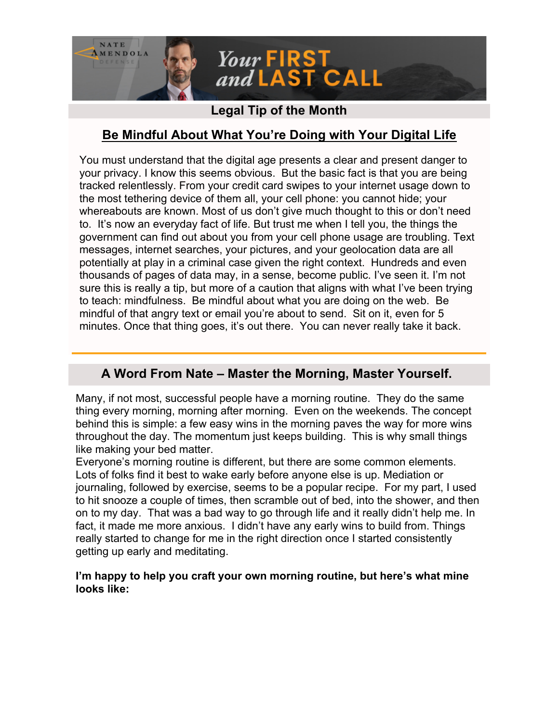

## **Legal Tip of the Month**

# **Be Mindful About What You're Doing with Your Digital Life**

You must understand that the digital age presents a clear and present danger to your privacy. I know this seems obvious. But the basic fact is that you are being tracked relentlessly. From your credit card swipes to your internet usage down to the most tethering device of them all, your cell phone: you cannot hide; your whereabouts are known. Most of us don't give much thought to this or don't need to. It's now an everyday fact of life. But trust me when I tell you, the things the government can find out about you from your cell phone usage are troubling. Text messages, internet searches, your pictures, and your geolocation data are all potentially at play in a criminal case given the right context. Hundreds and even thousands of pages of data may, in a sense, become public. I've seen it. I'm not sure this is really a tip, but more of a caution that aligns with what I've been trying to teach: mindfulness. Be mindful about what you are doing on the web. Be mindful of that angry text or email you're about to send. Sit on it, even for 5 minutes. Once that thing goes, it's out there. You can never really take it back.

### **A Word From Nate – Master the Morning, Master Yourself.**

Many, if not most, successful people have a morning routine. They do the same thing every morning, morning after morning. Even on the weekends. The concept behind this is simple: a few easy wins in the morning paves the way for more wins throughout the day. The momentum just keeps building. This is why small things like making your bed matter.

Everyone's morning routine is different, but there are some common elements. Lots of folks find it best to wake early before anyone else is up. Mediation or journaling, followed by exercise, seems to be a popular recipe. For my part, I used to hit snooze a couple of times, then scramble out of bed, into the shower, and then on to my day. That was a bad way to go through life and it really didn't help me. In fact, it made me more anxious. I didn't have any early wins to build from. Things really started to change for me in the right direction once I started consistently getting up early and meditating.

#### **I'm happy to help you craft your own morning routine, but here's what mine looks like:**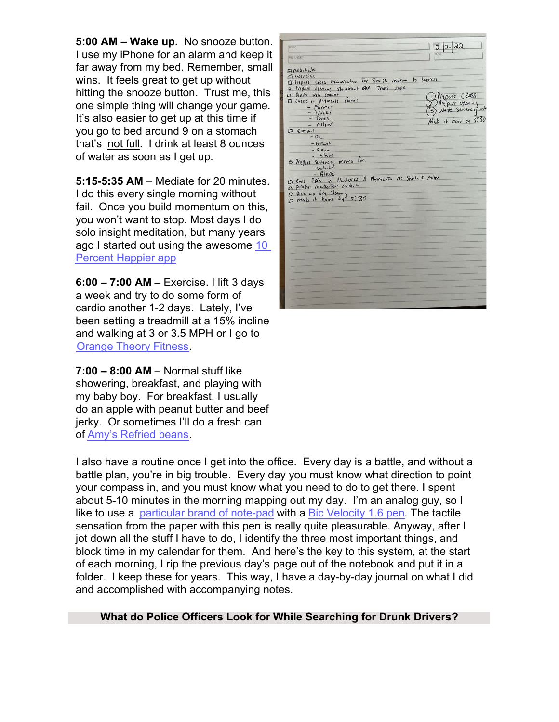**5:00 AM – Wake up.** No snooze button. I use my iPhone for an alarm and keep it far away from my bed. Remember, small wins. It feels great to get up without hitting the snooze button. Trust me, this one simple thing will change your game. It's also easier to get up at this time if you go to bed around 9 on a stomach that's not full. I drink at least 8 ounces of water as soon as I get up.

**5:15-5:35 AM** – Mediate for 20 minutes. I do this every single morning without fail. Once you build momentum on this, you won't want to stop. Most days I do solo insight meditation, but many years ago I started out using the awesome [10](https://www.tenpercent.com/?~tracking_information~) [Percent Happier app](https://www.tenpercent.com/?~tracking_information~)

**6:00 – 7:00 AM** – Exercise. I lift 3 days a week and try to do some form of cardio another 1-2 days. Lately, I've been setting a treadmill at a 15% incline and walking at 3 or 3.5 MPH or I go to [Orange Theory Fitness](https://www.orangetheory.com/en-us?~tracking_information~).

**7:00 – 8:00 AM** – Normal stuff like showering, breakfast, and playing with my baby boy. For breakfast, I usually do an apple with peanut butter and beef jerky. Or sometimes I'll do a fresh can of [Amy's Refried beans](https://www.target.com/p/amy-39-s-organic-vegetarian-traditional-refriend-beans-15-4oz/-/A-14770289?ref=tgt_adv_XS000000&AFID=google_pla_df&fndsrc=tgtao&DFA=71700000012732781&CPNG=PLA_Grocery%2BShopping_Local%7CGrocery_Ecomm_Food_Bev&adgroup=SC_Grocery&LID=700000001170770pgs&LNM=PRODUCT_GROUP&network=g&device=c&location=9001954&targetid=aud-1601604867532:pla-332457914846&ds_rl=1246978&ds_rl=1248099&gclid=Cj0KCQiAxc6PBhCEARIsAH8Hff08PsxOy05LFoyfcvkKNDcWEVFWZyJL1WE-0qElmhlOVOv5u6C7VMQaAp45EALw_wcB&gclsrc=aw.ds).

| TORIC                                                     | $\lambda\lambda$            |
|-----------------------------------------------------------|-----------------------------|
|                                                           |                             |
| <b>FUE LINCED</b>                                         |                             |
| Emeditate                                                 |                             |
| aureise                                                   |                             |
| 17 Prepart cross examination for Smith motion to Suppless |                             |
| is triper opening stakement FOR TINS case                 |                             |
| a Draft Wis Content                                       |                             |
| 12 Check on payments from:                                | Prepare Closs               |
| - Falmer                                                  | He pare upon und            |
| $-$ <i>Irrels</i>                                         |                             |
| $-500$                                                    |                             |
| $ Alltn$                                                  | $M_1 h + h_1 w + h_2 s$ .30 |
| $D \in \mathfrak{m}_{\lambda}$ .                          |                             |
| $-0f_{n}$                                                 |                             |
| $-br+1$                                                   |                             |
| $-$ Even                                                  |                             |
| $-$ skvt                                                  |                             |
|                                                           |                             |
|                                                           |                             |
| O Perfect sentencing memo For.                            |                             |
| $-l\nu h·k^j$                                             |                             |
| $-Rlnck$                                                  |                             |
| C Call PA's in Nantucket & Plymouth 12: Smith & Atling    |                             |
| A Praft Museller content                                  |                             |
|                                                           |                             |
| 13 Pick up dry Cleany<br>12 make it home by 5,30          |                             |
|                                                           |                             |
|                                                           |                             |
|                                                           |                             |
|                                                           |                             |
|                                                           |                             |
|                                                           |                             |
|                                                           |                             |
|                                                           |                             |
|                                                           |                             |
|                                                           |                             |
|                                                           |                             |
|                                                           |                             |
|                                                           |                             |
|                                                           |                             |
|                                                           |                             |
|                                                           |                             |

I also have a routine once I get into the office. Every day is a battle, and without a battle plan, you're in big trouble. Every day you must know what direction to point your compass in, and you must know what you need to do to get there. I spent about 5-10 minutes in the morning mapping out my day. I'm an analog guy, so I like to use a [particular brand of note-pad](https://www.levenger.com/stationery-notebooks-322/freeleaf-notepads-323/freeleaf-recycled-white-annotation-ruled-pads-let-7592.aspx?~tracking_information~) with a [Bic Velocity 1.6 pen](https://www.amazon.com/BIC-Velocity-Retractable-Point-12-Count/dp/B004F9QBDC?th=1). The tactile sensation from the paper with this pen is really quite pleasurable. Anyway, after I jot down all the stuff I have to do, I identify the three most important things, and block time in my calendar for them. And here's the key to this system, at the start of each morning, I rip the previous day's page out of the notebook and put it in a folder. I keep these for years. This way, I have a day-by-day journal on what I did and accomplished with accompanying notes.

#### **What do Police Officers Look for While Searching for Drunk Drivers?**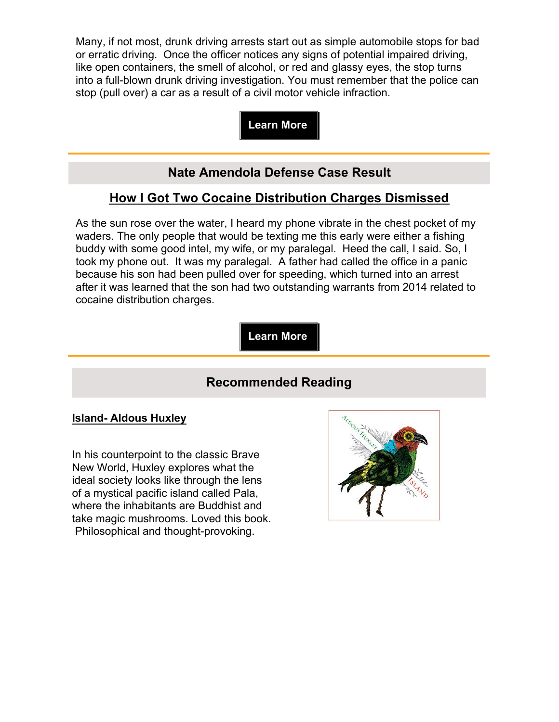Many, if not most, drunk driving arrests start out as simple automobile stops for bad or erratic driving. Once the officer notices any signs of potential impaired driving, like open containers, the smell of alcohol, or red and glassy eyes, the stop turns into a full-blown drunk driving investigation. You must remember that the police can stop (pull over) a car as a result of a civil motor vehicle infraction.

**Learn More**

# **Nate Amendola Defense Case Result**

# **How I Got Two Cocaine Distribution Charges Dismissed**

As the sun rose over the water, I heard my phone vibrate in the chest pocket of my waders. The only people that would be texting me this early were either a fishing buddy with some good intel, my wife, or my paralegal. Heed the call, I said. So, I took my phone out. It was my paralegal. A father had called the office in a panic because his son had been pulled over for speeding, which turned into an arrest after it was learned that the son had two outstanding warrants from 2014 related to cocaine distribution charges.

**Learn More**

## **Recommended Reading**

#### **Island- Aldous Huxley**

In his counterpoint to the classic Brave New World, Huxley explores what the ideal society looks like through the lens of a mystical pacific island called Pala, where the inhabitants are Buddhist and take magic mushrooms. Loved this book. Philosophical and thought-provoking.